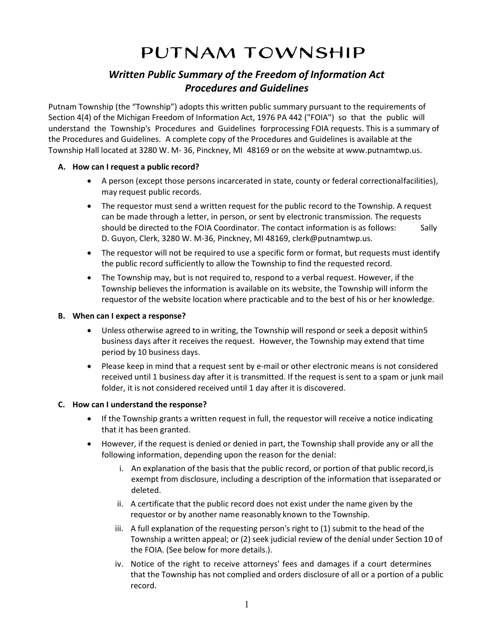# PUTNAM TOWNSHIP

# Written Public Summary of the Freedom of Information Act Procedures and Guidelines

Putnam Township (the "Township") adopts this written public summary pursuant to the requirements of Section 4(4) of the Michigan Freedom of Information Act, 1976 PA 442 ("FOIA") so that the public will understand the Township's Procedures and Guidelines forprocessing FOIA requests. This is a summary of the Procedures and Guidelines. A complete copy of the Procedures and Guidelines is available at the Township Hall located at 3280 W. M- 36, Pinckney, MI 48169 or on the website at www.putnamtwp.us.

#### A. How can I request a public record?

- A person (except those persons incarcerated in state, county or federal correctional facilities), may request public records.
- The requestor must send a written request for the public record to the Township. A request can be made through a letter, in person, or sent by electronic transmission. The requests should be directed to the FOIA Coordinator. The contact information is as follows: Sally D. Guyon, Clerk, 3280 W. M-36, Pinckney, MI 48169, clerk@putnamtwp.us.
- The requestor will not be required to use a specific form or format, but requests must identify the public record sufficiently to allow the Township to find the requested record.
- The Township may, but is not required to, respond to a verbal request. However, if the Township believes the information is available on its website, the Township will inform the requestor of the website location where practicable and to the best of his or her knowledge.

#### B. When can I expect a response?

- Unless otherwise agreed to in writing, the Township will respond or seek a deposit within 5 business days after it receives the request. However, the Township may extend that time period by 10 business days.
- Please keep in mind that a request sent by e-mail or other electronic means is not considered received until 1 business day after it is transmitted. If the request is sent to a spam or junk mail folder, it is not considered received until 1 day after it is discovered.

# C. How can I understand the response?

- If the Township grants a written request in full, the requestor will receive a notice indicating that it has been granted.
- However, if the request is denied or denied in part, the Township shall provide any or all the following information, depending upon the reason for the denial:
	- i. An explanation of the basis that the public record, or portion of that public record, is exempt from disclosure, including a description of the information that is separated or deleted.
	- ii. A certificate that the public record does not exist under the name given by the requestor or by another name reasonably known to the Township.
	- iii. A full explanation of the requesting person's right to (1) submit to the head of the Township a written appeal; or (2) seek judicial review of the denial under Section 10 of the FOIA. (See below for more details.).
	- iv. Notice of the right to receive attorneys' fees and damages if a court determines that the Township has not complied and orders disclosure of all or a portion of a public record.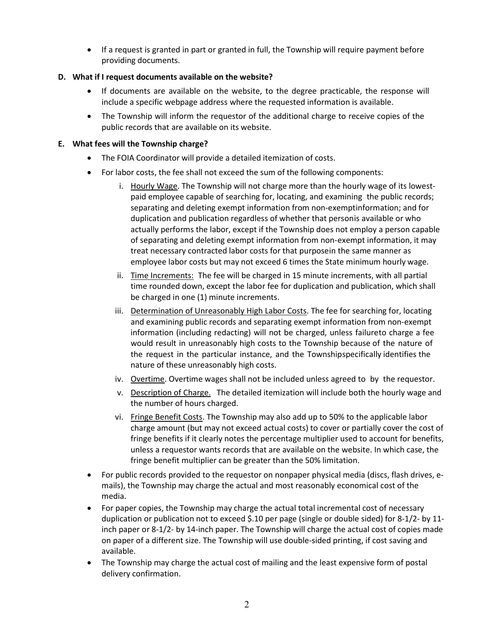If a request is granted in part or granted in full, the Township will require payment before providing documents.

# D. What if I request documents available on the website?

- If documents are available on the website, to the degree practicable, the response will include a specific webpage address where the requested information is available.
- The Township will inform the requestor of the additional charge to receive copies of the public records that are available on its website.

#### E. What fees will the Township charge?

- The FOIA Coordinator will provide a detailed itemization of costs.
- For labor costs, the fee shall not exceed the sum of the following components:
	- i. Hourly Wage. The Township will not charge more than the hourly wage of its lowestpaid employee capable of searching for, locating, and examining the public records; separating and deleting exempt information from non-exemptinformation; and for duplication and publication regardless of whether that personis available or who actually performs the labor, except if the Township does not employ a person capable of separating and deleting exempt information from non- exempt information, it may treat necessary contracted labor costs for that purposein the same manner as employee labor costs but may not exceed 6 times the State minimum hourly wage.
	- ii. Time Increments: The fee will be charged in 15 minute increments, with all partial time rounded down, except the labor fee for duplication and publication, which shall be charged in one (1) minute increments.
	- iii. Determination of Unreasonably High Labor Costs. The fee for searching for, locating and examining public records and separating exempt information from non-exempt information (including redacting) will not be charged, unless failureto charge a fee would result in unreasonably high costs to the Township because of the nature of the request in the particular instance, and the Townshipspecifically identifies the nature of these unreasonably high costs.
	- iv. Overtime. Overtime wages shall not be included unless agreed to by the requestor.
	- v. Description of Charge. The detailed itemization will include both the hourly wage and the number of hours charged.
	- vi. Fringe Benefit Costs. The Township may also add up to 50% to the applicable labor charge amount (but may not exceed actual costs) to cover or partially cover the cost of fringe benefits if it clearly notes the percentage multiplier used to account for benefits, unless a requestor wants records that are available on the website. In which case, the fringe benefit multiplier can be greater than the 50% limitation.
- For public records provided to the requestor on nonpaper physical media (discs, flash drives, emails), the Township may charge the actual and most reasonably economical cost of the media.
- For paper copies, the Township may charge the actual total incremental cost of necessary duplication or publication not to exceed \$.10 per page (single or double sided) for 8-1/2- by 11inch paper or 8-1/2- by 14-inch paper. The Township will charge the actual cost of copies made on paper of a different size. The Township will use double-sided printing, if cost saving and available.
- The Township may charge the actual cost of mailing and the least expensive form of postal delivery confirmation.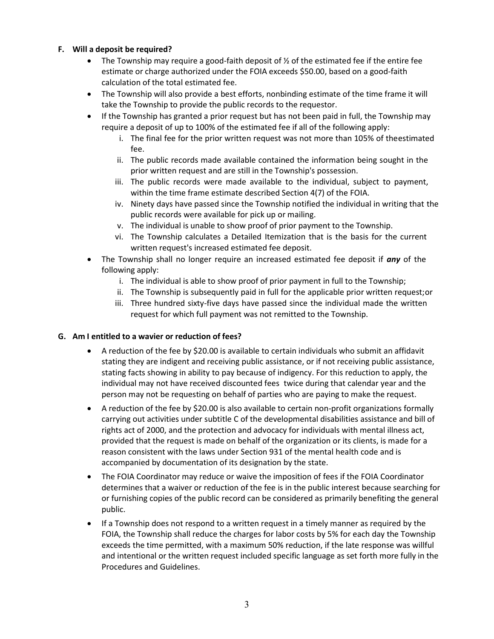# F. Will a deposit be required?

- The Township may require a good-faith deposit of  $\frac{1}{2}$  of the estimated fee if the entire fee estimate or charge authorized under the FOIA exceeds \$50.00, based on a good-faith calculation of the total estimated fee.
- The Township will also provide a best efforts, nonbinding estimate of the time frame it will take the Township to provide the public records to the requestor.
- If the Township has granted a prior request but has not been paid in full, the Township may require a deposit of up to 100% of the estimated fee if all of the following apply:
	- i. The final fee for the prior written request was not more than 105% of the estimated fee.
	- ii. The public records made available contained the information being sought in the prior written request and are still in the Township's possession.
	- iii. The public records were made available to the individual, subject to payment, within the time frame estimate described Section 4(7) of the FOIA.
	- iv. Ninety days have passed since the Township notified the individual in writing that the public records were available for pick up or mailing.
	- v. The individual is unable to show proof of prior payment to the Township.
	- vi. The Township calculates a Detailed Itemization that is the basis for the current written request's increased estimated fee deposit.
- The Township shall no longer require an increased estimated fee deposit if any of the following apply:
	- i. The individual is able to show proof of prior payment in full to the Township;
	- ii. The Township is subsequently paid in full for the applicable prior written request; or
	- iii. Three hundred sixty-five days have passed since the individual made the written request for which full payment was not remitted to the Township.

# G. Am I entitled to a wavier or reduction of fees?

- A reduction of the fee by \$20.00 is available to certain individuals who submit an affidavit stating they are indigent and receiving public assistance, or if not receiving public assistance, stating facts showing in ability to pay because of indigency. For this reduction to apply, the individual may not have received discounted fees twice during that calendar year and the person may not be requesting on behalf of parties who are paying to make the request.
- A reduction of the fee by \$20.00 is also available to certain non-profit organizations formally carrying out activities under subtitle C of the developmental disabilities assistance and bill of rights act of 2000, and the protection and advocacy for individuals with mental illness act, provided that the request is made on behalf of the organization or its clients, is made for a reason consistent with the laws under Section 931 of the mental health code and is accompanied by documentation of its designation by the state.
- The FOIA Coordinator may reduce or waive the imposition of fees if the FOIA Coordinator determines that a waiver or reduction of the fee is in the public interest because searching for or furnishing copies of the public record can be considered as primarily benefiting the general public.
- If a Township does not respond to a written request in a timely manner as required by the FOIA, the Township shall reduce the charges for labor costs by 5% for each day the Township exceeds the time permitted, with a maximum 50% reduction, if the late response was willful and intentional or the written request included specific language as set forth more fully in the Procedures and Guidelines.